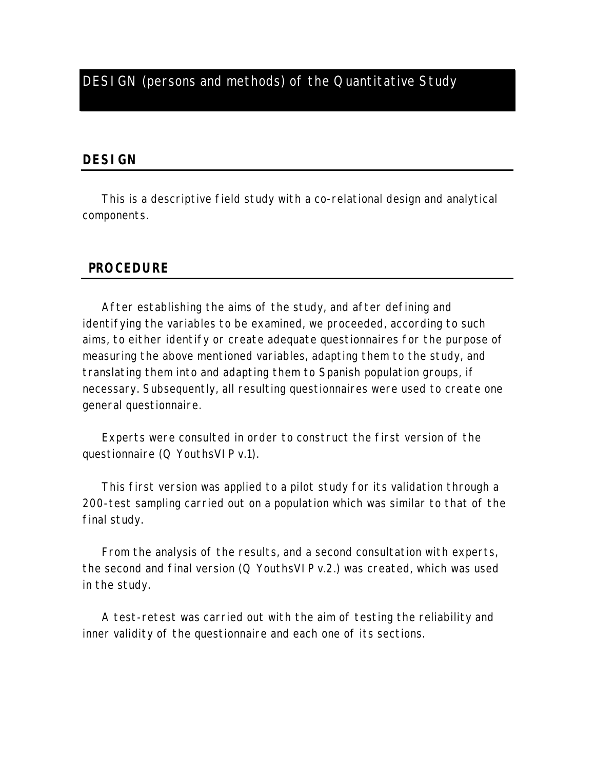DESIGN (persons and methods) of the Quantitative Study

## **DESIGN**

This is a descriptive field study with a co-relational design and analytical components.

#### **PROCEDURE**

After establishing the aims of the study, and after defining and identifying the variables to be examined, we proceeded, according to such aims, to either identify or create adequate questionnaires for the purpose of measuring the above mentioned variables, adapting them to the study, and translating them into and adapting them to Spanish population groups, if necessary. Subsequently, all resulting questionnaires were used to create one general questionnaire.

Experts were consulted in order to construct the first version of the questionnaire (Q YouthsVIP v.1).

This first version was applied to a pilot study for its validation through a 200-test sampling carried out on a population which was similar to that of the final study.

From the analysis of the results, and a second consultation with experts, the second and final version (Q YouthsVIP v.2.) was created, which was used in the study.

A test-retest was carried out with the aim of testing the reliability and inner validity of the questionnaire and each one of its sections.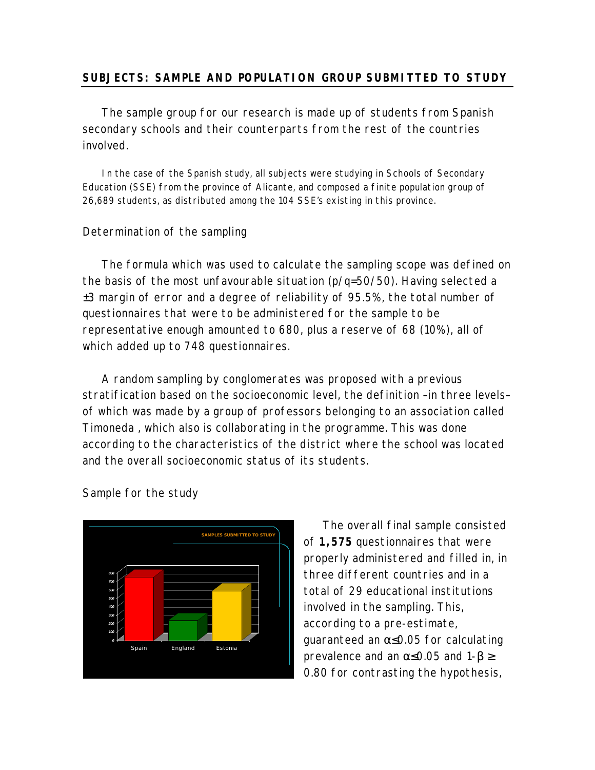## **SUBJECTS: SAMPLE AND POPULATION GROUP SUBMITTED TO STUDY**

The sample group for our research is made up of students from Spanish secondary schools and their counterparts from the rest of the countries involved.

In the case of the Spanish study, all subjects were studying in Schools of Secondary Education (SSE) from the province of Alicante, and composed a finite population group of 26,689 students, as distributed among the 104 SSE's existing in this province.

### *Determination of the sampling*

The formula which was used to calculate the sampling scope was defined on the basis of the most unfavourable situation (p/q=50/50). Having selected a ±3 margin of error and a degree of reliability of 95.5%, the total number of questionnaires that were to be administered for the sample to be representative enough amounted to 680, plus a reserve of 68 (10%), all of which added up to 748 questionnaires.

A random sampling by conglomerates was proposed with a previous stratification based on the socioeconomic level, the definition –in three levels– of which was made by a group of professors belonging to an association called *Timoneda* , which also is collaborating in the programme. This was done according to the characteristics of the district where the school was located and the overall socioeconomic status of its students.



#### *Sample for the study*

The overall final sample consisted of **1,575** questionnaires that were properly administered and filled in, in three different countries and in a total of 29 educational institutions involved in the sampling. This, according to a pre-estimate, guaranteed an α≤0.05 for calculating prevalence and an  $\alpha \le 0.05$  and 1- $\beta \ge$ 0.80 for contrasting the hypothesis,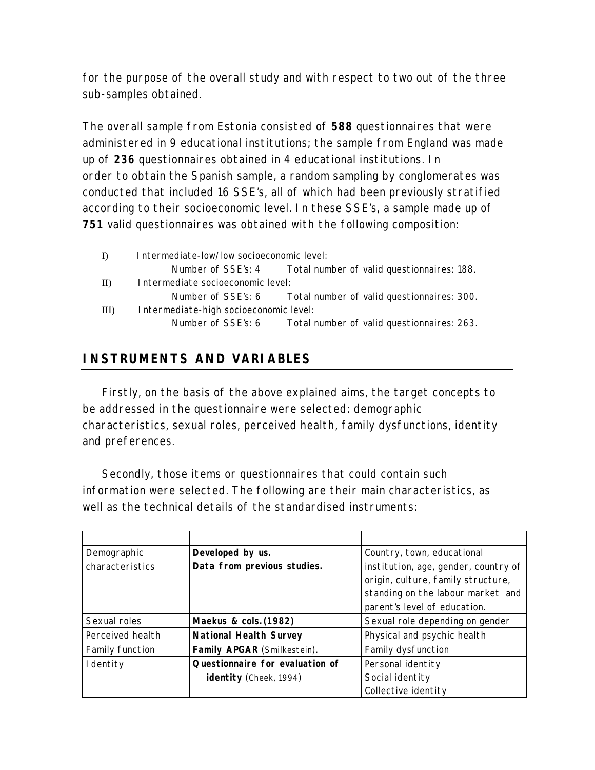for the purpose of the overall study and with respect to two out of the three sub-samples obtained.

The overall sample from Estonia consisted of **588** questionnaires that were administered in 9 educational institutions; the sample from England was made up of **236** questionnaires obtained in 4 educational institutions. In order to obtain the Spanish sample, a random sampling by conglomerates was conducted that included 16 SSE's, all of which had been previously stratified according to their socioeconomic level. In these SSE's, a sample made up of **751** valid questionnaires was obtained with the following composition:

| D.           | Intermediate-low/low socioeconomic level: |                                                               |  |
|--------------|-------------------------------------------|---------------------------------------------------------------|--|
|              |                                           | Number of SSE's: 4 Total number of valid questionnaires: 188. |  |
| $\mathbf{I}$ | Intermediate socioeconomic level:         |                                                               |  |
|              |                                           | Number of SSE's: 6 Total number of valid questionnaires: 300. |  |
| III          | Intermediate-high socioeconomic level:    |                                                               |  |
|              |                                           | Number of SSE's: 6 Total number of valid questionnaires: 263. |  |

# **INSTRUMENTS AND VARIABLES**

Firstly, on the basis of the above explained aims, the target concepts to be addressed in the questionnaire were selected: demographic characteristics, sexual roles, perceived health, family dysfunctions, identity and preferences.

Secondly, those items or questionnaires that could contain such information were selected. The following are their main characteristics, as well as the technical details of the standardised instruments:

| Demographic      | Developed by us.                | Country, town, educational           |
|------------------|---------------------------------|--------------------------------------|
| characteristics  | Data from previous studies.     | institution, age, gender, country of |
|                  |                                 | origin, culture, family structure,   |
|                  |                                 | standing on the labour market and    |
|                  |                                 | parent's level of education.         |
| Sexual roles     | Maekus & cols. (1982)           | Sexual role depending on gender      |
| Perceived health | <b>National Health Survey</b>   | Physical and psychic health          |
| Family function  | Family APGAR (Smilkestein).     | Family dysfunction                   |
| <b>I</b> dentity | Questionnaire for evaluation of | Personal identity                    |
|                  | identity (Cheek, 1994)          | Social identity                      |
|                  |                                 | Collective identity                  |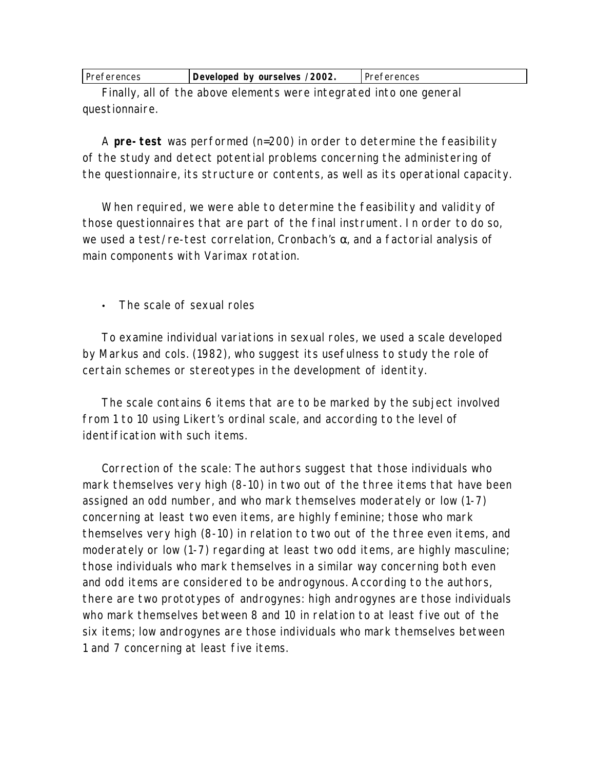| Preferences | Developed by ourselves /2002. | Preferences |
|-------------|-------------------------------|-------------|
|-------------|-------------------------------|-------------|

Finally, all of the above elements were integrated into one general questionnaire.

A **pre-test** was performed (n=200) in order to determine the feasibility of the study and detect potential problems concerning the administering of the questionnaire, its structure or contents, as well as its operational capacity.

When required, we were able to determine the feasibility and validity of those questionnaires that are part of the final instrument. In order to do so, we used a test/re-test correlation, Cronbach's  $\alpha$ , and a factorial analysis of main components with Varimax rotation.

• The scale of sexual roles

To examine individual variations in sexual roles, we used a scale developed by Markus and cols. (1982), who suggest its usefulness to study the role of certain schemes or stereotypes in the development of identity.

The scale contains 6 items that are to be marked by the subject involved from 1 to 10 using Likert's ordinal scale, and according to the level of identification with such items.

Correction of the scale: The authors suggest that those individuals who mark themselves very high (8-10) in two out of the three items that have been assigned an odd number, and who mark themselves moderately or low (1-7) concerning at least two even items, are highly feminine; those who mark themselves very high (8-10) in relation to two out of the three even items, and moderately or low (1-7) regarding at least two odd items, are highly masculine; those individuals who mark themselves in a similar way concerning both even and odd items are considered to be androgynous. According to the authors, there are two prototypes of androgynes: high androgynes are those individuals who mark themselves between 8 and 10 in relation to at least five out of the six items; low androgynes are those individuals who mark themselves between 1 and 7 concerning at least five items.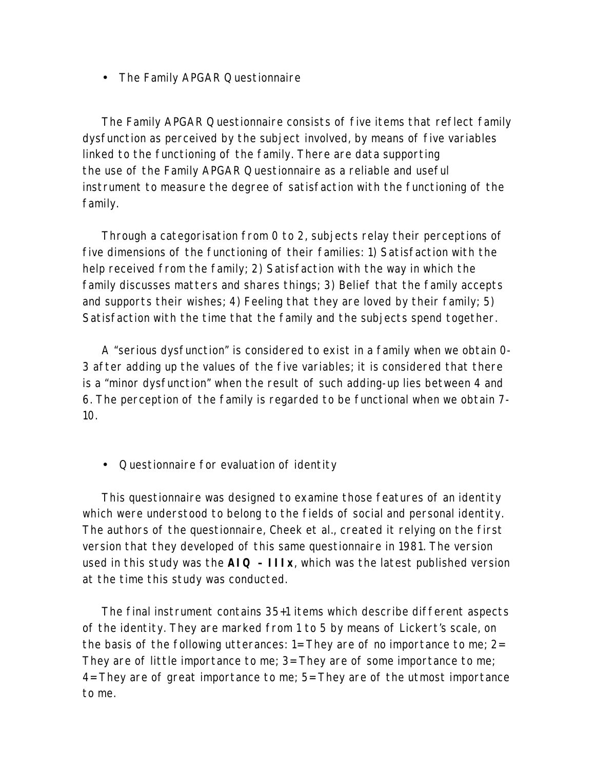• The Family APGAR Questionnaire

The Family APGAR Questionnaire consists of five items that reflect family dysfunction as perceived by the subject involved, by means of five variables linked to the functioning of the family. There are data supporting the use of the Family APGAR Questionnaire as a reliable and useful instrument to measure the degree of satisfaction with the functioning of the family.

Through a categorisation from 0 to 2, subjects relay their perceptions of five dimensions of the functioning of their families: 1) Satisfaction with the help received from the family; 2) Satisfaction with the way in which the family discusses matters and shares things; 3) Belief that the family accepts and supports their wishes; 4) Feeling that they are loved by their family; 5) Satisfaction with the time that the family and the subjects spend together.

A "serious dysfunction" is considered to exist in a family when we obtain 0- 3 after adding up the values of the five variables; it is considered that there is a "minor dysfunction" when the result of such adding-up lies between 4 and 6. The perception of the family is regarded to be functional when we obtain 7- 10.

• Questionnaire for evaluation of identity

This questionnaire was designed to examine those features of an identity which were understood to belong to the fields of social and personal identity. The authors of the questionnaire, Cheek et al., created it relying on the first version that they developed of this same questionnaire in 1981. The version used in this study was the **AIQ – IIIx**, which was the latest published version at the time this study was conducted.

The final instrument contains 35+1 items which describe different aspects of the identity. They are marked from 1 to 5 by means of Lickert's scale, on the basis of the following utterances: 1= They are of no importance to me; 2= They are of little importance to me; 3= They are of some importance to me; 4= They are of great importance to me; 5= They are of the utmost importance to me.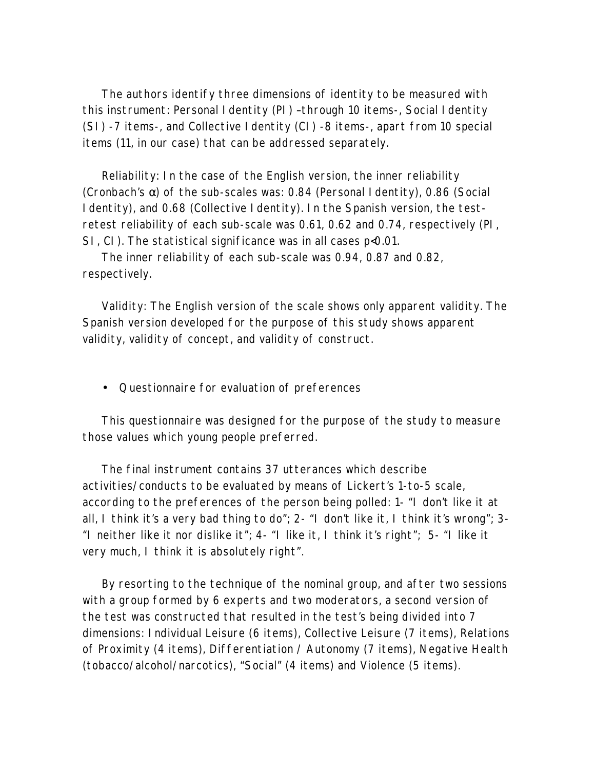The authors identify three dimensions of identity to be measured with this instrument: Personal Identity (PI) –through 10 items-, Social Identity (SI) -7 items-, and Collective Identity (CI) -8 items-, apart from 10 special items (11, in our case) that can be addressed separately.

Reliability: In the case of the English version, the inner reliability (Cronbach's  $\alpha$ ) of the sub-scales was: 0.84 (Personal Identity), 0.86 (Social Identity), and 0.68 (Collective Identity). In the Spanish version, the testretest reliability of each sub-scale was 0.61, 0.62 and 0.74, respectively (PI, SI, CI). The statistical significance was in all cases p<0.01.

The inner reliability of each sub-scale was 0.94, 0.87 and 0.82, respectively.

Validity: The English version of the scale shows only apparent validity. The Spanish version developed for the purpose of this study shows apparent validity, validity of concept, and validity of construct.

• Questionnaire for evaluation of preferences

This questionnaire was designed for the purpose of the study to measure those values which young people preferred.

The final instrument contains 37 utterances which describe activities/conducts to be evaluated by means of Lickert's 1-to-5 scale, according to the preferences of the person being polled: 1- "I don't like it at all, I think it's a very bad thing to do"; 2- "I don't like it, I think it's wrong"; 3-"I neither like it nor dislike it"; 4- "I like it, I think it's right"; 5- "I like it very much, I think it is absolutely right".

By resorting to the technique of the nominal group, and after two sessions with a group formed by 6 experts and two moderators, a second version of the test was constructed that resulted in the test's being divided into 7 dimensions: Individual Leisure (6 items), Collective Leisure (7 items), Relations of Proximity (4 items), Differentiation / Autonomy (7 items), Negative Health (tobacco/alcohol/narcotics), "Social" (4 items) and Violence (5 items).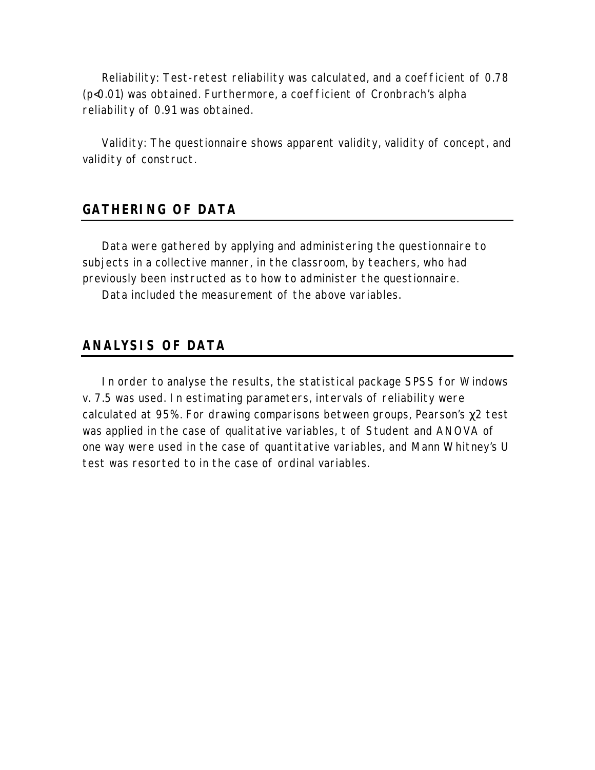Reliability: Test-retest reliability was calculated, and a coefficient of 0.78 (p<0.01) was obtained. Furthermore, a coefficient of Cronbrach's alpha reliability of 0.91 was obtained.

Validity: The questionnaire shows apparent validity, validity of concept, and validity of construct.

## **GATHERING OF DATA**

Data were gathered by applying and administering the questionnaire to subjects in a collective manner, in the classroom, by teachers, who had previously been instructed as to how to administer the questionnaire.

Data included the measurement of the above variables.

## **ANALYSIS OF DATA**

In order to analyse the results, the statistical package SPSS for Windows v. 7.5 was used. In estimating parameters, intervals of reliability were calculated at 95%. For drawing comparisons between groups, Pearson's χ2 test was applied in the case of qualitative variables, t of Student and ANOVA of one way were used in the case of quantitative variables, and Mann Whitney's U test was resorted to in the case of ordinal variables.